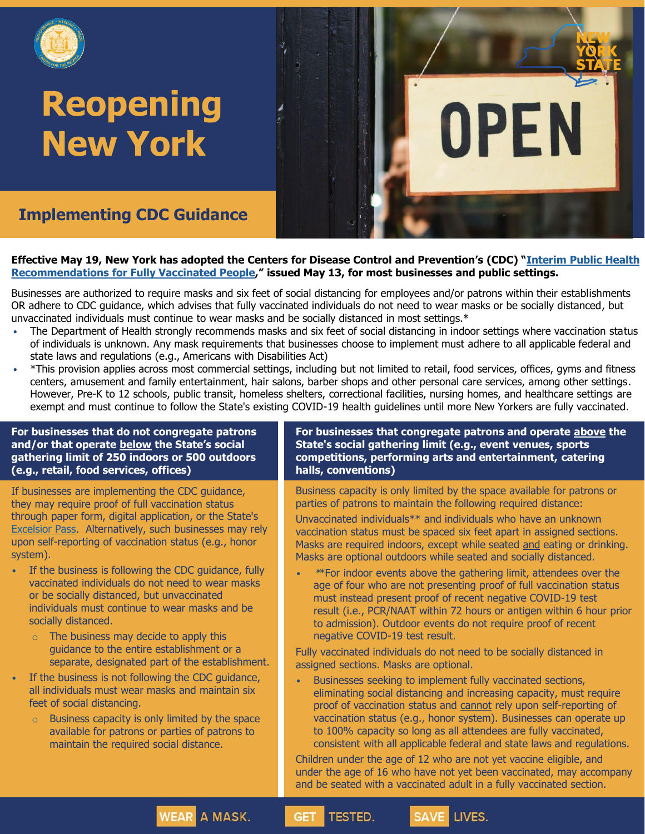

# **Reopening New York**

**Implementing CDC Guidance**

#### **Effective May 19, [New York has adopted the Centers for Disease Control and Prevention's \(CDC\) "](https://www.cdc.gov/coronavirus/2019-ncov/vaccines/fully-vaccinated-guidance.html)Interim Public Health Recommendations for Fully Vaccinated People," issued May 13, for most businesses and public settings.**

Businesses are authorized to require masks and six feet of social distancing for employees and/or patrons within their establishments OR adhere to CDC guidance, which advises that fully vaccinated individuals do not need to wear masks or be socially distanced, but unvaccinated individuals must continue to wear masks and be socially distanced in most settings.\*

- The Department of Health strongly recommends masks and six feet of social distancing in indoor settings where vaccination status of individuals is unknown. Any mask requirements that businesses choose to implement must adhere to all applicable federal and state laws and regulations (e.g., Americans with Disabilities Act)
- \*This provision applies across most commercial settings, including but not limited to retail, food services, offices, gyms and fitness centers, amusement and family entertainment, hair salons, barber shops and other personal care services, among other settings. However, Pre-K to 12 schools, public transit, homeless shelters, correctional facilities, nursing homes, and healthcare settings are exempt and must continue to follow the State's existing COVID-19 health guidelines until more New Yorkers are fully vaccinated.

**TESTED.** 

**GET** 

#### **For businesses that do not congregate patrons and/or that operate below the State's social gathering limit of 250 indoors or 500 outdoors (e.g., retail, food services, offices)**

If businesses are implementing the CDC guidance, they may require proof of full vaccination status through paper form, digital application, or the State's [Excelsior Pass](https://covid19vaccine.health.ny.gov/excelsior-pass). Alternatively, such businesses may rely upon self-reporting of vaccination status (e.g., honor system).

- If the business is following the CDC guidance, fully vaccinated individuals do not need to wear masks or be socially distanced, but unvaccinated individuals must continue to wear masks and be socially distanced.
	- o The business may decide to apply this guidance to the entire establishment or a separate, designated part of the establishment.
- If the business is not following the CDC quidance, all individuals must wear masks and maintain six feet of social distancing.
	- $\circ$  Business capacity is only limited by the space available for patrons or parties of patrons to maintain the required social distance.

**WEAR A MASK.** 

#### **For businesses that congregate patrons and operate above the State's social gathering limit (e.g., event venues, sports competitions, performing arts and entertainment, catering halls, conventions)**

OPEN

Business capacity is only limited by the space available for patrons or parties of patrons to maintain the following required distance:

Unvaccinated individuals\*\* and individuals who have an unknown vaccination status must be spaced six feet apart in assigned sections. Masks are required indoors, except while seated and eating or drinking. Masks are optional outdoors while seated and socially distanced.

• \*\*For indoor events above the gathering limit, attendees over the age of four who are not presenting proof of full vaccination status must instead present proof of recent negative COVID-19 test result (i.e., PCR/NAAT within 72 hours or antigen within 6 hour prior to admission). Outdoor events do not require proof of recent negative COVID-19 test result.

Fully vaccinated individuals do not need to be socially distanced in assigned sections. Masks are optional.

Businesses seeking to implement fully vaccinated sections, eliminating social distancing and increasing capacity, must require proof of vaccination status and cannot rely upon self-reporting of vaccination status (e.g., honor system). Businesses can operate up to 100% capacity so long as all attendees are fully vaccinated, consistent with all applicable federal and state laws and regulations.

Children under the age of 12 who are not yet vaccine eligible, and under the age of 16 who have not yet been vaccinated, may accompany and be seated with a vaccinated adult in a fully vaccinated section.

LIVES.

**SAVE**